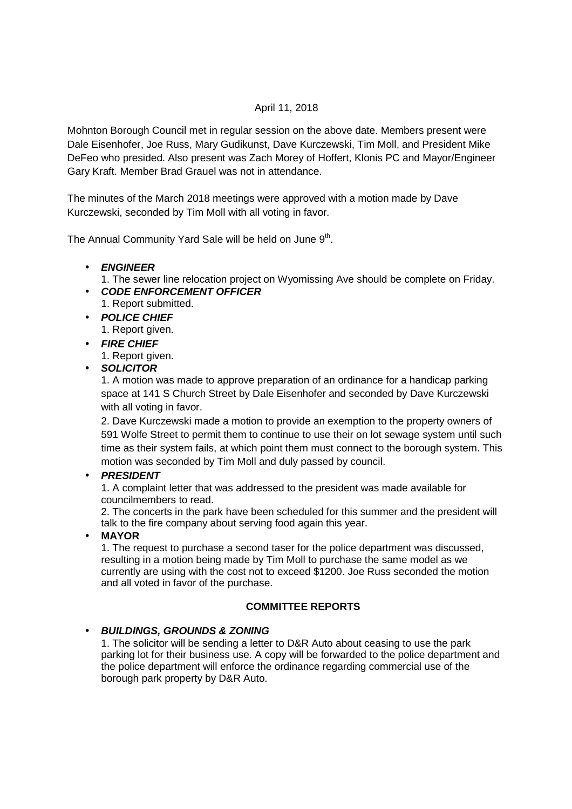### April 11, 2018

Mohnton Borough Council met in regular session on the above date. Members present were Dale Eisenhofer, Joe Russ, Mary Gudikunst, Dave Kurczewski, Tim Moll, and President Mike DeFeo who presided. Also present was Zach Morey of Hoffert, Klonis PC and Mayor/Engineer Gary Kraft. Member Brad Grauel was not in attendance.

The minutes of the March 2018 meetings were approved with a motion made by Dave Kurczewski, seconded by Tim Moll with all voting in favor.

The Annual Community Yard Sale will be held on June 9<sup>th</sup>.

#### • **ENGINEER**

- 1. The sewer line relocation project on Wyomissing Ave should be complete on Friday.
- **CODE ENFORCEMENT OFFICER**  1. Report submitted.
- **POLICE CHIEF** 1. Report given.
- **FIRE CHIEF**

1. Report given.

• **SOLICITOR**

1. A motion was made to approve preparation of an ordinance for a handicap parking space at 141 S Church Street by Dale Eisenhofer and seconded by Dave Kurczewski with all voting in favor.

2. Dave Kurczewski made a motion to provide an exemption to the property owners of 591 Wolfe Street to permit them to continue to use their on lot sewage system until such time as their system fails, at which point them must connect to the borough system. This motion was seconded by Tim Moll and duly passed by council.

#### • **PRESIDENT**

1. A complaint letter that was addressed to the president was made available for councilmembers to read.

2. The concerts in the park have been scheduled for this summer and the president will talk to the fire company about serving food again this year.

#### • **MAYOR**

1. The request to purchase a second taser for the police department was discussed, resulting in a motion being made by Tim Moll to purchase the same model as we currently are using with the cost not to exceed \$1200. Joe Russ seconded the motion and all voted in favor of the purchase.

#### **COMMITTEE REPORTS**

# • **BUILDINGS, GROUNDS & ZONING**

1. The solicitor will be sending a letter to D&R Auto about ceasing to use the park parking lot for their business use. A copy will be forwarded to the police department and the police department will enforce the ordinance regarding commercial use of the borough park property by D&R Auto.